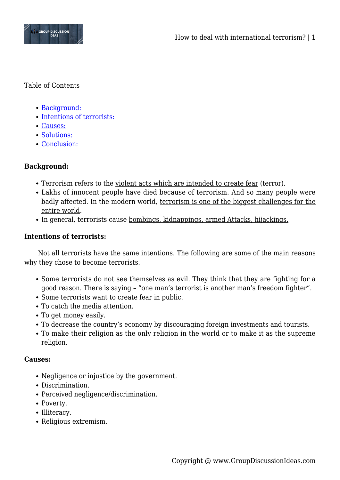

### Table of Contents

- [Background:](#page--1-0)
- [Intentions of terrorists:](#page--1-0)
- [Causes:](#page--1-0)
- [Solutions:](#page--1-0)
- [Conclusion:](#page--1-0)

# **Background:**

- Terrorism refers to the violent acts which are intended to create fear (terror).
- Lakhs of innocent people have died because of terrorism. And so many people were badly affected. In the modern world, terrorism is one of the biggest challenges for the entire world.
- In general, terrorists cause bombings, kidnappings, armed Attacks, hijackings.

### **Intentions of terrorists:**

Not all terrorists have the same intentions. The following are some of the main reasons why they chose to become terrorists.

- Some terrorists do not see themselves as evil. They think that they are fighting for a good reason. There is saying – "one man's terrorist is another man's freedom fighter".
- Some terrorists want to create fear in public.
- To catch the media attention.
- To get money easily.
- To decrease the country's economy by discouraging foreign investments and tourists.
- To make their religion as the only religion in the world or to make it as the supreme religion.

#### **Causes:**

- Negligence or injustice by the government.
- Discrimination.
- Perceived negligence/discrimination.
- Poverty.
- Illiteracy.
- Religious extremism.